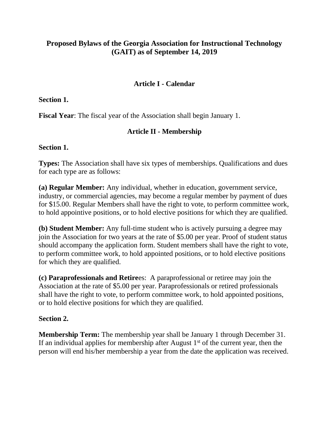# **Proposed Bylaws of the Georgia Association for Instructional Technology (GAIT) as of September 14, 2019**

# **Article I - Calendar**

#### **Section 1.**

**Fiscal Year**: The fiscal year of the Association shall begin January 1.

# **Article II - Membership**

#### **Section 1.**

**Types:** The Association shall have six types of memberships. Qualifications and dues for each type are as follows:

**(a) Regular Member:** Any individual, whether in education, government service, industry, or commercial agencies, may become a regular member by payment of dues for \$15.00. Regular Members shall have the right to vote, to perform committee work, to hold appointive positions, or to hold elective positions for which they are qualified.

**(b) Student Member:** Any full-time student who is actively pursuing a degree may join the Association for two years at the rate of \$5.00 per year. Proof of student status should accompany the application form. Student members shall have the right to vote, to perform committee work, to hold appointed positions, or to hold elective positions for which they are qualified.

**(c) Paraprofessionals and Retire**es: A paraprofessional or retiree may join the Association at the rate of \$5.00 per year. Paraprofessionals or retired professionals shall have the right to vote, to perform committee work, to hold appointed positions, or to hold elective positions for which they are qualified.

# **Section 2.**

**Membership Term:** The membership year shall be January 1 through December 31. If an individual applies for membership after August  $1<sup>st</sup>$  of the current year, then the person will end his/her membership a year from the date the application was received.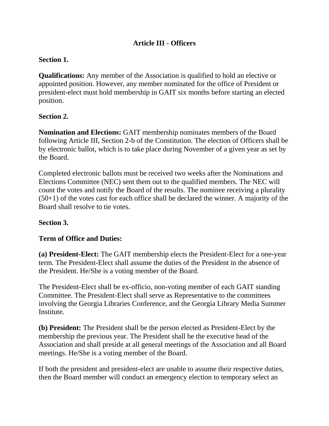# **Article III - Officers**

#### **Section 1.**

**Qualifications:** Any member of the Association is qualified to hold an elective or appointed position. However, any member nominated for the office of President or president-elect must hold membership in GAIT six months before starting an elected position.

### **Section 2.**

**Nomination and Elections:** GAIT membership nominates members of the Board following Article III, Section 2-b of the Constitution. The election of Officers shall be by electronic ballot, which is to take place during November of a given year as set by the Board.

Completed electronic ballots must be received two weeks after the Nominations and Elections Committee (NEC) sent them out to the qualified members. The NEC will count the votes and notify the Board of the results. The nominee receiving a plurality  $(50+1)$  of the votes cast for each office shall be declared the winner. A majority of the Board shall resolve to tie votes.

# **Section 3.**

#### **Term of Office and Duties:**

**(a) President-Elect:** The GAIT membership elects the President-Elect for a one-year term. The President-Elect shall assume the duties of the President in the absence of the President. He/She is a voting member of the Board.

The President-Elect shall be ex-officio, non-voting member of each GAIT standing Committee. The President-Elect shall serve as Representative to the committees involving the Georgia Libraries Conference, and the Georgia Library Media Summer Institute.

**(b) President:** The President shall be the person elected as President-Elect by the membership the previous year. The President shall be the executive head of the Association and shall preside at all general meetings of the Association and all Board meetings. He/She is a voting member of the Board.

If both the president and president-elect are unable to assume their respective duties, then the Board member will conduct an emergency election to temporary select an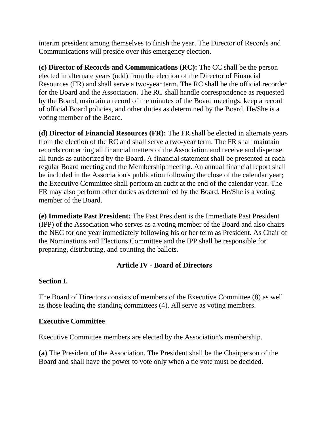interim president among themselves to finish the year. The Director of Records and Communications will preside over this emergency election.

**(c) Director of Records and Communications (RC):** The CC shall be the person elected in alternate years (odd) from the election of the Director of Financial Resources (FR) and shall serve a two-year term. The RC shall be the official recorder for the Board and the Association. The RC shall handle correspondence as requested by the Board, maintain a record of the minutes of the Board meetings, keep a record of official Board policies, and other duties as determined by the Board. He/She is a voting member of the Board.

**(d) Director of Financial Resources (FR):** The FR shall be elected in alternate years from the election of the RC and shall serve a two-year term. The FR shall maintain records concerning all financial matters of the Association and receive and dispense all funds as authorized by the Board. A financial statement shall be presented at each regular Board meeting and the Membership meeting. An annual financial report shall be included in the Association's publication following the close of the calendar year; the Executive Committee shall perform an audit at the end of the calendar year. The FR may also perform other duties as determined by the Board. He/She is a voting member of the Board.

**(e) Immediate Past President:** The Past President is the Immediate Past President (IPP) of the Association who serves as a voting member of the Board and also chairs the NEC for one year immediately following his or her term as President. As Chair of the Nominations and Elections Committee and the IPP shall be responsible for preparing, distributing, and counting the ballots.

# **Article IV - Board of Directors**

# **Section I.**

The Board of Directors consists of members of the Executive Committee (8) as well as those leading the standing committees (4). All serve as voting members.

# **Executive Committee**

Executive Committee members are elected by the Association's membership.

**(a)** The President of the Association. The President shall be the Chairperson of the Board and shall have the power to vote only when a tie vote must be decided.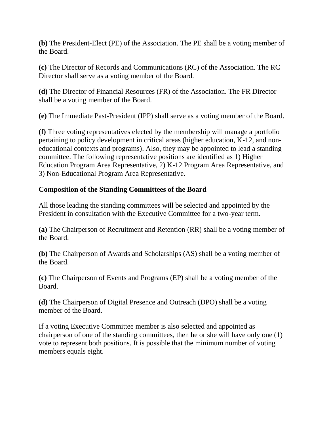**(b)** The President-Elect (PE) of the Association. The PE shall be a voting member of the Board.

**(c)** The Director of Records and Communications (RC) of the Association. The RC Director shall serve as a voting member of the Board.

**(d)** The Director of Financial Resources (FR) of the Association. The FR Director shall be a voting member of the Board.

**(e)** The Immediate Past-President (IPP) shall serve as a voting member of the Board.

**(f)** Three voting representatives elected by the membership will manage a portfolio pertaining to policy development in critical areas (higher education, K-12, and noneducational contexts and programs). Also, they may be appointed to lead a standing committee. The following representative positions are identified as 1) Higher Education Program Area Representative, 2) K-12 Program Area Representative, and 3) Non-Educational Program Area Representative.

# **Composition of the Standing Committees of the Board**

All those leading the standing committees will be selected and appointed by the President in consultation with the Executive Committee for a two-year term.

**(a)** The Chairperson of Recruitment and Retention (RR) shall be a voting member of the Board.

**(b)** The Chairperson of Awards and Scholarships (AS) shall be a voting member of the Board.

**(c)** The Chairperson of Events and Programs (EP) shall be a voting member of the Board.

**(d)** The Chairperson of Digital Presence and Outreach (DPO) shall be a voting member of the Board.

If a voting Executive Committee member is also selected and appointed as chairperson of one of the standing committees, then he or she will have only one (1) vote to represent both positions. It is possible that the minimum number of voting members equals eight.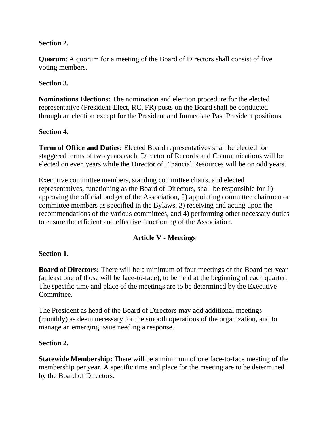# **Section 2.**

**Quorum**: A quorum for a meeting of the Board of Directors shall consist of five voting members.

# **Section 3.**

**Nominations Elections:** The nomination and election procedure for the elected representative (President-Elect, RC, FR) posts on the Board shall be conducted through an election except for the President and Immediate Past President positions.

# **Section 4.**

**Term of Office and Duties:** Elected Board representatives shall be elected for staggered terms of two years each. Director of Records and Communications will be elected on even years while the Director of Financial Resources will be on odd years.

Executive committee members, standing committee chairs, and elected representatives, functioning as the Board of Directors, shall be responsible for 1) approving the official budget of the Association, 2) appointing committee chairmen or committee members as specified in the Bylaws, 3) receiving and acting upon the recommendations of the various committees, and 4) performing other necessary duties to ensure the efficient and effective functioning of the Association.

# **Article V - Meetings**

# **Section 1.**

**Board of Directors:** There will be a minimum of four meetings of the Board per year (at least one of those will be face-to-face), to be held at the beginning of each quarter. The specific time and place of the meetings are to be determined by the Executive Committee.

The President as head of the Board of Directors may add additional meetings (monthly) as deem necessary for the smooth operations of the organization, and to manage an emerging issue needing a response.

# **Section 2.**

**Statewide Membership:** There will be a minimum of one face-to-face meeting of the membership per year. A specific time and place for the meeting are to be determined by the Board of Directors.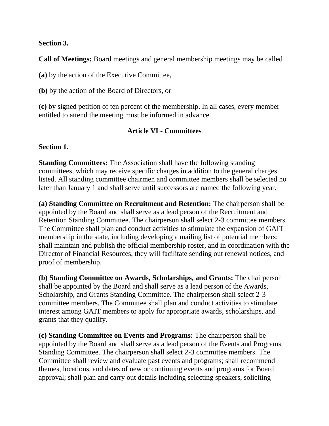### **Section 3.**

**Call of Meetings:** Board meetings and general membership meetings may be called

**(a)** by the action of the Executive Committee,

**(b)** by the action of the Board of Directors, or

**(c)** by signed petition of ten percent of the membership. In all cases, every member entitled to attend the meeting must be informed in advance.

### **Article VI - Committees**

### **Section 1.**

**Standing Committees:** The Association shall have the following standing committees, which may receive specific charges in addition to the general charges listed. All standing committee chairmen and committee members shall be selected no later than January 1 and shall serve until successors are named the following year.

**(a) Standing Committee on Recruitment and Retention:** The chairperson shall be appointed by the Board and shall serve as a lead person of the Recruitment and Retention Standing Committee. The chairperson shall select 2-3 committee members. The Committee shall plan and conduct activities to stimulate the expansion of GAIT membership in the state, including developing a mailing list of potential members; shall maintain and publish the official membership roster, and in coordination with the Director of Financial Resources, they will facilitate sending out renewal notices, and proof of membership.

**(b) Standing Committee on Awards, Scholarships, and Grants:** The chairperson shall be appointed by the Board and shall serve as a lead person of the Awards, Scholarship, and Grants Standing Committee. The chairperson shall select 2-3 committee members. The Committee shall plan and conduct activities to stimulate interest among GAIT members to apply for appropriate awards, scholarships, and grants that they qualify.

**(c) Standing Committee on Events and Programs:** The chairperson shall be appointed by the Board and shall serve as a lead person of the Events and Programs Standing Committee. The chairperson shall select 2-3 committee members. The Committee shall review and evaluate past events and programs; shall recommend themes, locations, and dates of new or continuing events and programs for Board approval; shall plan and carry out details including selecting speakers, soliciting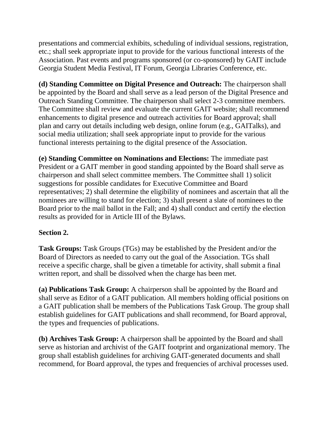presentations and commercial exhibits, scheduling of individual sessions, registration, etc.; shall seek appropriate input to provide for the various functional interests of the Association. Past events and programs sponsored (or co-sponsored) by GAIT include Georgia Student Media Festival, IT Forum, Georgia Libraries Conference, etc.

**(d) Standing Committee on Digital Presence and Outreach:** The chairperson shall be appointed by the Board and shall serve as a lead person of the Digital Presence and Outreach Standing Committee. The chairperson shall select 2-3 committee members. The Committee shall review and evaluate the current GAIT website; shall recommend enhancements to digital presence and outreach activities for Board approval; shall plan and carry out details including web design, online forum (e.g., GAITalks), and social media utilization; shall seek appropriate input to provide for the various functional interests pertaining to the digital presence of the Association.

**(e) Standing Committee on Nominations and Elections:** The immediate past President or a GAIT member in good standing appointed by the Board shall serve as chairperson and shall select committee members. The Committee shall 1) solicit suggestions for possible candidates for Executive Committee and Board representatives; 2) shall determine the eligibility of nominees and ascertain that all the nominees are willing to stand for election; 3) shall present a slate of nominees to the Board prior to the mail ballot in the Fall; and 4) shall conduct and certify the election results as provided for in Article III of the Bylaws.

# **Section 2.**

**Task Groups:** Task Groups (TGs) may be established by the President and/or the Board of Directors as needed to carry out the goal of the Association. TGs shall receive a specific charge, shall be given a timetable for activity, shall submit a final written report, and shall be dissolved when the charge has been met.

**(a) Publications Task Group:** A chairperson shall be appointed by the Board and shall serve as Editor of a GAIT publication. All members holding official positions on a GAIT publication shall be members of the Publications Task Group. The group shall establish guidelines for GAIT publications and shall recommend, for Board approval, the types and frequencies of publications.

**(b) Archives Task Group:** A chairperson shall be appointed by the Board and shall serve as historian and archivist of the GAIT footprint and organizational memory. The group shall establish guidelines for archiving GAIT-generated documents and shall recommend, for Board approval, the types and frequencies of archival processes used.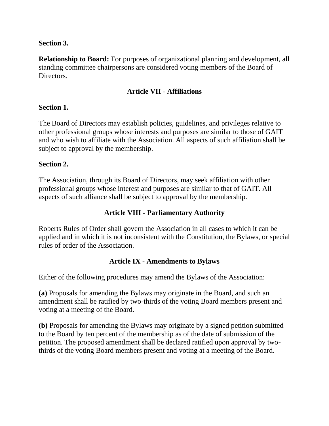# **Section 3.**

**Relationship to Board:** For purposes of organizational planning and development, all standing committee chairpersons are considered voting members of the Board of Directors.

# **Article VII - Affiliations**

### **Section 1.**

The Board of Directors may establish policies, guidelines, and privileges relative to other professional groups whose interests and purposes are similar to those of GAIT and who wish to affiliate with the Association. All aspects of such affiliation shall be subject to approval by the membership.

### **Section 2.**

The Association, through its Board of Directors, may seek affiliation with other professional groups whose interest and purposes are similar to that of GAIT. All aspects of such alliance shall be subject to approval by the membership.

# **Article VIII - Parliamentary Authority**

Roberts Rules of Order shall govern the Association in all cases to which it can be applied and in which it is not inconsistent with the Constitution, the Bylaws, or special rules of order of the Association.

# **Article IX - Amendments to Bylaws**

Either of the following procedures may amend the Bylaws of the Association:

**(a)** Proposals for amending the Bylaws may originate in the Board, and such an amendment shall be ratified by two-thirds of the voting Board members present and voting at a meeting of the Board.

**(b)** Proposals for amending the Bylaws may originate by a signed petition submitted to the Board by ten percent of the membership as of the date of submission of the petition. The proposed amendment shall be declared ratified upon approval by twothirds of the voting Board members present and voting at a meeting of the Board.